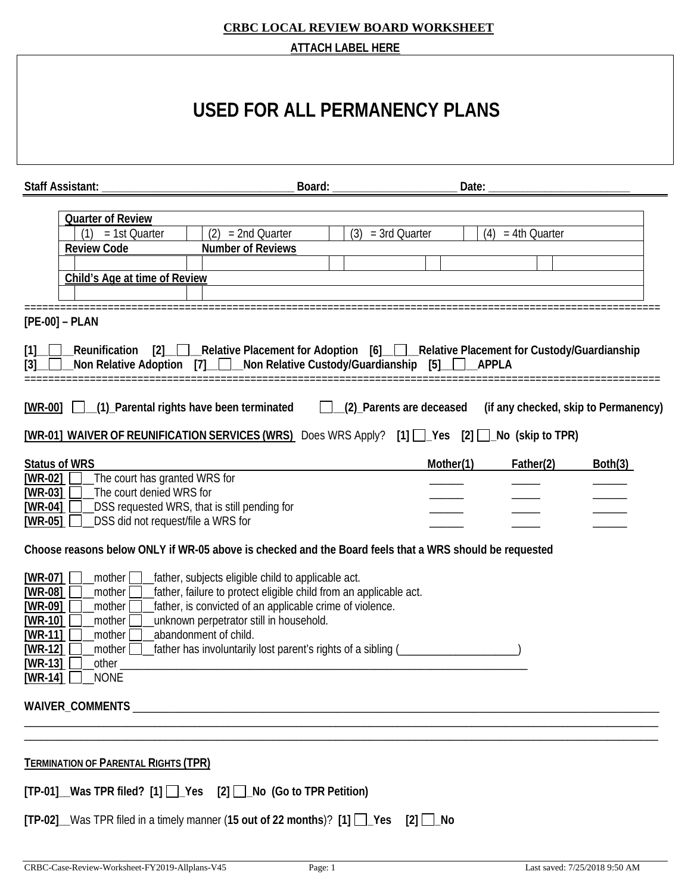#### **CRBC LOCAL REVIEW BOARD WORKSHEET ATTACH LABEL HERE**

|                                                                                                                                                                                                                                                                              | AT TACH LABEL HERE                                                                                                                                                                                                                                                                             |                     |                     |                                      |
|------------------------------------------------------------------------------------------------------------------------------------------------------------------------------------------------------------------------------------------------------------------------------|------------------------------------------------------------------------------------------------------------------------------------------------------------------------------------------------------------------------------------------------------------------------------------------------|---------------------|---------------------|--------------------------------------|
|                                                                                                                                                                                                                                                                              | USED FOR ALL PERMANENCY PLANS                                                                                                                                                                                                                                                                  |                     |                     |                                      |
| Staff Assistant: _                                                                                                                                                                                                                                                           | Board: ____                                                                                                                                                                                                                                                                                    | Date: $\_\_$        |                     |                                      |
| <b>Quarter of Review</b><br>$(1) = 1st$ Quarter<br><b>Review Code</b><br>Child's Age at time of Review                                                                                                                                                                       | $(2) = 2nd$ Quarter<br><b>Number of Reviews</b>                                                                                                                                                                                                                                                | $(3) = 3rd$ Quarter | $(4) = 4th$ Quarter |                                      |
| $[PE-00] - PLAN$<br>[1] Reunification [2] Relative Placement for Adoption [6] Relative Placement for Custody/Guardianship<br>Non Relative Adoption [7] Non Relative Custody/Guardianship [5] APPLA<br>[3]                                                                    |                                                                                                                                                                                                                                                                                                |                     |                     |                                      |
| [WR-00] [ \[ (1) Parental rights have been terminated [ \[ \] (2) Parents are deceased<br>[WR-01] WAIVER OF REUNIFICATION SERVICES (WRS) Does WRS Apply? [1] $\Box$ Yes [2] $\Box$ No (skip to TPR)                                                                          |                                                                                                                                                                                                                                                                                                |                     |                     | (if any checked, skip to Permanency) |
| <b>Status of WRS</b><br>The court has granted WRS for<br>[WR-02] $\Box$<br>The court denied WRS for<br>$[WR-03]$<br>DSS requested WRS, that is still pending for<br>$[WR-04]$<br>DSS did not request/file a WRS for<br>$[WR-05]$                                             |                                                                                                                                                                                                                                                                                                | Mother(1)           | Father(2)           | Both(3)                              |
| Choose reasons below ONLY if WR-05 above is checked and the Board feels that a WRS should be requested<br>$[WR-07]$<br>mother  <br>[WR-08]<br>_mother<br>$[WR-09]$<br>_mother<br>$[WR-10]$<br>_mother<br>[WR-11]<br>abandonment of child.<br>mother<br>[ $WR-12$ ]<br>mother | father, subjects eligible child to applicable act.<br>father, failure to protect eligible child from an applicable act.<br>father, is convicted of an applicable crime of violence.<br>unknown perpetrator still in household.<br>[ather has involuntarily lost parent's rights of a sibling ( |                     |                     |                                      |
| $[WR-13]$<br>other_<br><b>NONE</b><br>$[WR-14]$                                                                                                                                                                                                                              |                                                                                                                                                                                                                                                                                                |                     |                     |                                      |
| <b>TERMINATION OF PARENTAL RIGHTS (TPR)</b><br>[TP-01]_Was TPR filed? [1] []_Yes [2] []_No (Go to TPR Petition)                                                                                                                                                              |                                                                                                                                                                                                                                                                                                |                     |                     |                                      |
| $[TP-02]$ Was TPR filed in a timely manner (15 out of 22 months)? $[1]$ $\Box$ Yes $[2]$ $\Box$ No                                                                                                                                                                           |                                                                                                                                                                                                                                                                                                |                     |                     |                                      |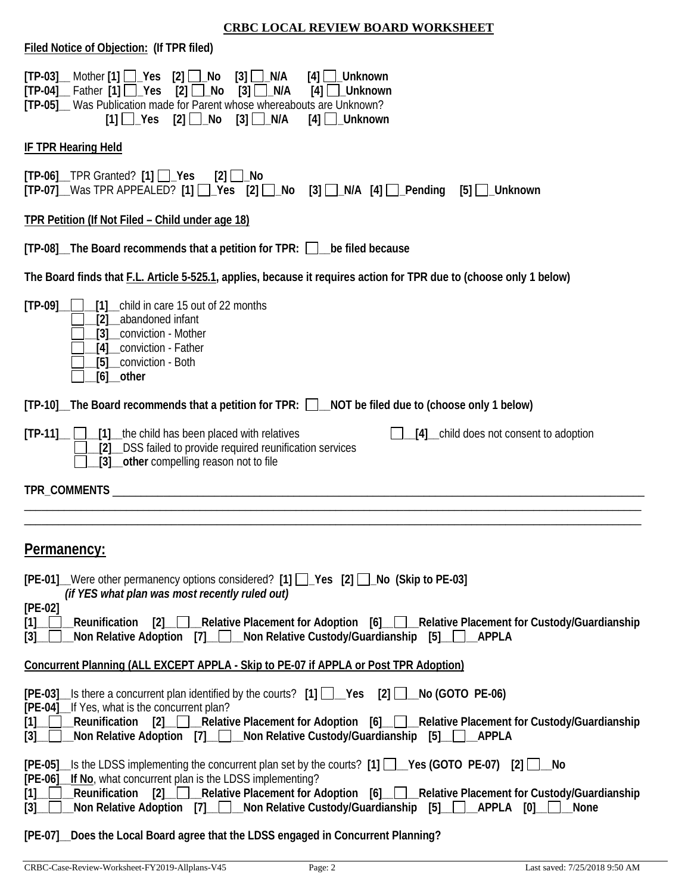|--|

| Filed Notice of Objection: (If TPR filed)                                                                                                                                                                                                                                                                                                                                                                                                        |  |  |  |  |
|--------------------------------------------------------------------------------------------------------------------------------------------------------------------------------------------------------------------------------------------------------------------------------------------------------------------------------------------------------------------------------------------------------------------------------------------------|--|--|--|--|
| $[TP-03]$ Mother $[1]$ $\Box$ Yes $[2]$ $\Box$ No<br>$[3]$ $\Box$ N/A<br>$[4]$ $\Box$ Unknown<br>$[TP-04]$ Father $[1]$ $\Box$ Yes<br>$[2]$ $\Box$ No<br>$[3]$ $\Box$ N/A<br>[4]<br>Unknown<br>[TP-05] Was Publication made for Parent whose whereabouts are Unknown?<br>$[2]$ $\Box$ No<br>$[3]$ $\Box$ N/A<br>$[4]$ __Unknown<br>$[1]$ $\Box$ Yes                                                                                              |  |  |  |  |
| <b>IF TPR Hearing Held</b>                                                                                                                                                                                                                                                                                                                                                                                                                       |  |  |  |  |
| $[TP-06]$ TPR Granted? $[1]$ $\Box$ Yes<br>$[2]$ $\Box$ No<br>[TP-07]_Was TPR APPEALED? [1] __Yes [2] __No [3] __N/A [4] __Pending [5] __Unknown                                                                                                                                                                                                                                                                                                 |  |  |  |  |
| TPR Petition (If Not Filed - Child under age 18)                                                                                                                                                                                                                                                                                                                                                                                                 |  |  |  |  |
| [TP-08] The Board recommends that a petition for TPR: Dube filed because                                                                                                                                                                                                                                                                                                                                                                         |  |  |  |  |
| The Board finds that F.L. Article 5-525.1, applies, because it requires action for TPR due to (choose only 1 below)                                                                                                                                                                                                                                                                                                                              |  |  |  |  |
| $[TP-09]$<br>[1] child in care 15 out of 22 months<br>abandoned infant<br>[2]<br>_conviction - Mother<br>[3]<br>[4] conviction - Father<br>[5] conviction - Both<br>$[6]$ other                                                                                                                                                                                                                                                                  |  |  |  |  |
| [TP-10]_The Board recommends that a petition for TPR: □__NOT be filed due to (choose only 1 below)                                                                                                                                                                                                                                                                                                                                               |  |  |  |  |
| $[TP-11]$ $\Box$ $[1]$ the child has been placed with relatives<br>[4] child does not consent to adoption<br>[2] DSS failed to provide required reunification services<br>[3] __ other compelling reason not to file                                                                                                                                                                                                                             |  |  |  |  |
|                                                                                                                                                                                                                                                                                                                                                                                                                                                  |  |  |  |  |
|                                                                                                                                                                                                                                                                                                                                                                                                                                                  |  |  |  |  |
| Permanency:                                                                                                                                                                                                                                                                                                                                                                                                                                      |  |  |  |  |
| $[PE-01]$ Were other permanency options considered? [1] $\Box$ Yes [2] $\Box$ No (Skip to PE-03]<br>(if YES what plan was most recently ruled out)                                                                                                                                                                                                                                                                                               |  |  |  |  |
| $[PE-02]$<br>Relative Placement for Adoption [6] Relative Placement for Custody/Guardianship<br>Reunification<br>$\lceil 2 \rceil$<br>$[1]$ _ $\Box$<br>Non Relative Adoption $\begin{bmatrix} 7 \end{bmatrix}$ Non Relative Custody/Guardianship $\begin{bmatrix} 5 \end{bmatrix}$<br><b>APPLA</b><br>$[3]$                                                                                                                                     |  |  |  |  |
| <b>Concurrent Planning (ALL EXCEPT APPLA - Skip to PE-07 if APPLA or Post TPR Adoption)</b>                                                                                                                                                                                                                                                                                                                                                      |  |  |  |  |
| [PE-03]_Is there a concurrent plan identified by the courts? [1] [ Ves [2] [ No (GOTO PE-06)<br>[PE-04]_If Yes, what is the concurrent plan?<br>Reunification [2]_____Relative Placement for Adoption [6]_____Relative Placement for Custody/Guardianship_<br>$[1]$                                                                                                                                                                              |  |  |  |  |
| Mon Relative Adoption [7] __ Mon Relative Custody/Guardianship [5] __ __________<br>$\left[3\right]_{-}$                                                                                                                                                                                                                                                                                                                                         |  |  |  |  |
| $[PE-05]$ Is the LDSS implementing the concurrent plan set by the courts? $[1]$ $\Box$ Yes (GOTO PE-07) $[2]$ $\Box$ No<br>If No, what concurrent plan is the LDSS implementing?<br>$[PE-06]$<br>$[2]$ $\Box$<br>Relative Placement for Adoption [6] Relative Placement for Custody/Guardianship<br>Reunification<br>$[1]$<br>Non Relative Adoption [7] __ Non Relative Custody/Guardianship<br>$[5]$ $\Box$ APPLA $[0]$<br>$[3]$<br><b>None</b> |  |  |  |  |
| Does the Local Board agree that the LDSS engaged in Concurrent Planning?<br>$[PE-07]$                                                                                                                                                                                                                                                                                                                                                            |  |  |  |  |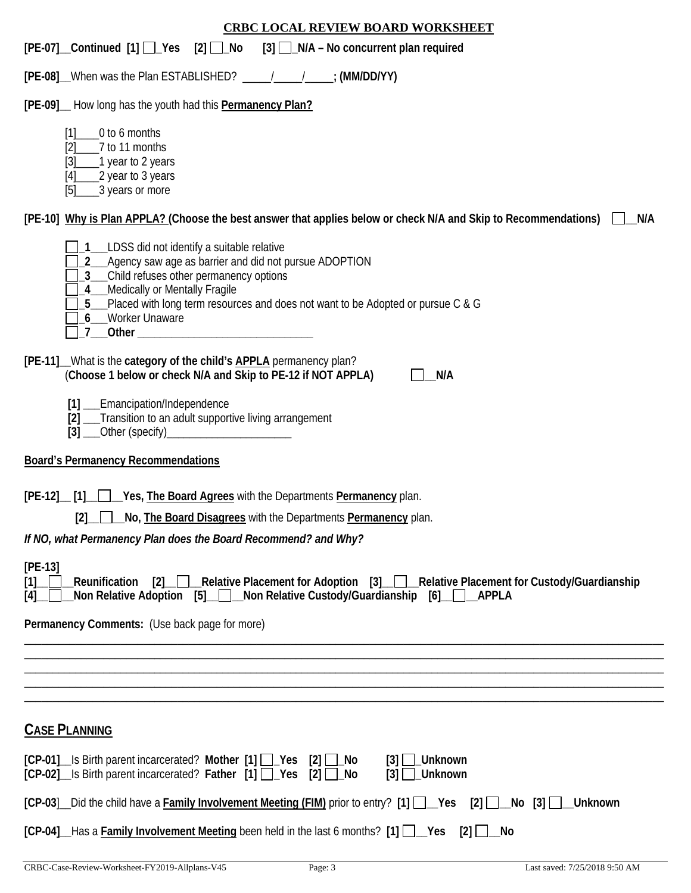| <b>CRBC LOCAL REVIEW BOARD WORKSHEET</b>                                                                                                                                                                                                                                                                                                                                                                                                                                                                                            |
|-------------------------------------------------------------------------------------------------------------------------------------------------------------------------------------------------------------------------------------------------------------------------------------------------------------------------------------------------------------------------------------------------------------------------------------------------------------------------------------------------------------------------------------|
| [PE-07] Continued [1] Yes [2] No [3] N/A – No concurrent plan required                                                                                                                                                                                                                                                                                                                                                                                                                                                              |
| [PE-08] When was the Plan ESTABLISHED? ____________________; (MM/DD/YY)                                                                                                                                                                                                                                                                                                                                                                                                                                                             |
| [PE-09]_ How long has the youth had this <b>Permanency Plan?</b>                                                                                                                                                                                                                                                                                                                                                                                                                                                                    |
| _0 to 6 months<br>[1]<br>7 to 11 months<br>[2]<br>$[3]$<br>1 year to 2 years<br>2 year to 3 years<br>$[4]$<br>___3 years or more<br>[5]                                                                                                                                                                                                                                                                                                                                                                                             |
| [PE-10] Why is Plan APPLA? (Choose the best answer that applies below or check N/A and Skip to Recommendations)<br>N/A                                                                                                                                                                                                                                                                                                                                                                                                              |
| 1__LDSS did not identify a suitable relative<br>2_ Agency saw age as barrier and did not pursue ADOPTION<br>3_Child refuses other permanency options<br>4_Medically or Mentally Fragile<br>5_Placed with long term resources and does not want to be Adopted or pursue C & G<br>6_ Worker Unaware<br>7 Other Charles Communications of the Charles Communication of the Charles Communication of the Charles Communication of the Charles Communication of the Charles Communication of the Charles Communication of the Charles Co |
| [PE-11] What is the category of the child's <b>APPLA</b> permanency plan?<br>(Choose 1 below or check N/A and Skip to PE-12 if NOT APPLA)<br>N/A                                                                                                                                                                                                                                                                                                                                                                                    |
| [1] __Emancipation/Independence<br>[2] __Transition to an adult supportive living arrangement<br>[3] ___Other (specify)____________________________                                                                                                                                                                                                                                                                                                                                                                                 |
| <b>Board's Permanency Recommendations</b>                                                                                                                                                                                                                                                                                                                                                                                                                                                                                           |
| [PE-12] [1] Yes, The Board Agrees with the Departments Permanency plan.<br>[2]<br>__ L_ L___ No, The Board Disagrees with the Departments Permanency plan.<br>If NO, what Permanency Plan does the Board Recommend? and Why?                                                                                                                                                                                                                                                                                                        |
| $[PE-13]$                                                                                                                                                                                                                                                                                                                                                                                                                                                                                                                           |
| [2] Relative Placement for Adoption [3] Relative Placement for Custody/Guardianship<br>Reunification<br>[1]<br>Non Relative Adoption [5] Non Relative Custody/Guardianship [6]   APPLA<br>[4]                                                                                                                                                                                                                                                                                                                                       |
| Permanency Comments: (Use back page for more)                                                                                                                                                                                                                                                                                                                                                                                                                                                                                       |
|                                                                                                                                                                                                                                                                                                                                                                                                                                                                                                                                     |
|                                                                                                                                                                                                                                                                                                                                                                                                                                                                                                                                     |
|                                                                                                                                                                                                                                                                                                                                                                                                                                                                                                                                     |
| <b>CASE PLANNING</b>                                                                                                                                                                                                                                                                                                                                                                                                                                                                                                                |
| [CP-01] Is Birth parent incarcerated? Mother [1] Pes [2] LNo<br>$[3]$ Unknown<br>[CP-02] _ Is Birth parent incarcerated? Father [1] [ __ Yes [2] [ __ No<br>$[3]$ $\Box$ Unknown                                                                                                                                                                                                                                                                                                                                                    |
| [CP-03] Did the child have a Family Involvement Meeting (FIM) prior to entry? [1] __Yes [2] __No [3] __Unknown                                                                                                                                                                                                                                                                                                                                                                                                                      |
| $[CP-04]$ Has a Family Involvement Meeting been held in the last 6 months? $[1]$ $[2]$<br>$[2]$ $\Box$ No                                                                                                                                                                                                                                                                                                                                                                                                                           |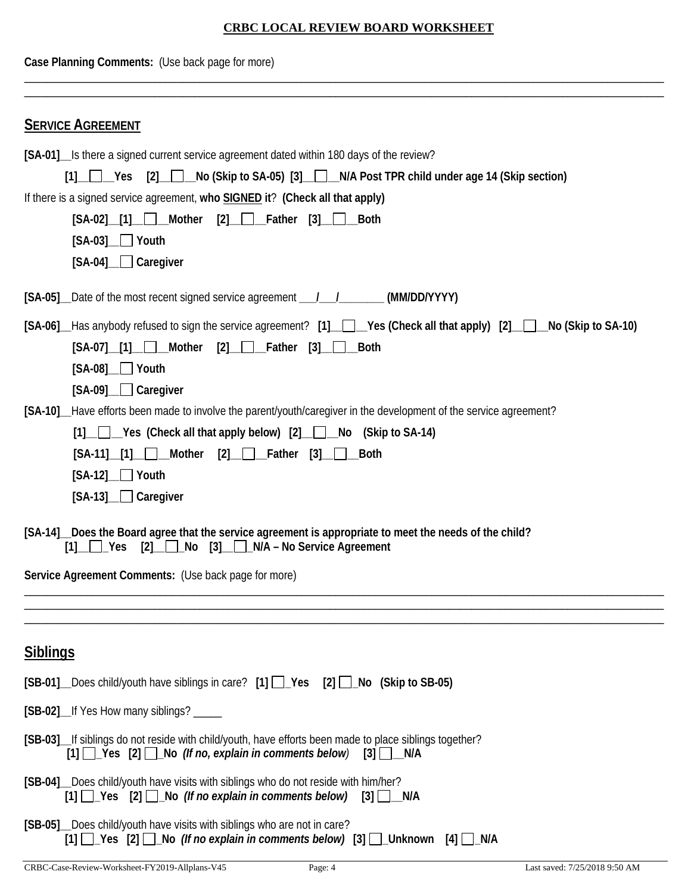| Case Planning Comments: (Use back page for more)                                                                                                                                                                                                                                                                                                                        |  |  |  |
|-------------------------------------------------------------------------------------------------------------------------------------------------------------------------------------------------------------------------------------------------------------------------------------------------------------------------------------------------------------------------|--|--|--|
| <b>SERVICE AGREEMENT</b>                                                                                                                                                                                                                                                                                                                                                |  |  |  |
| [SA-01] Is there a signed current service agreement dated within 180 days of the review?<br>[1] Yes [2] No (Skip to SA-05) [3] N/A Post TPR child under age 14 (Skip section)<br>If there is a signed service agreement, who SIGNED it? (Check all that apply)<br>$[SA-02]$ [1] Mother $[2]$ Father $[3]$<br><b>Both</b><br>$[SA-03]$ $\Box$ Youth<br>[SA-04] Caregiver |  |  |  |
| [SA-05] Date of the most recent signed service agreement ________________________ (MM/DD/YYYY)                                                                                                                                                                                                                                                                          |  |  |  |
| [SA-06] Has anybody refused to sign the service agreement? [1] Ves (Check all that apply) [2] No (Skip to SA-10)<br>$[SA-07]$ [1] Mother $[2]$ Father $[3]$ Both<br>$[SA-08]$ Youth<br>[SA-09] Caregiver                                                                                                                                                                |  |  |  |
| [SA-10] Have efforts been made to involve the parent/youth/caregiver in the development of the service agreement?<br>$[1]$ $\Box$ Yes (Check all that apply below) $[2]$ $\Box$ No (Skip to SA-14)<br>$[2]$ $\Box$ Father $[3]$ $\Box$ Both<br>$[SA-11]$ [1] Mother<br>$[SA-12]$ Youth<br>[SA-13] Caregiver                                                             |  |  |  |
| [SA-14] Does the Board agree that the service agreement is appropriate to meet the needs of the child?<br>$[1]$ $\Box$ Yes $[2]$ $\Box$ No $[3]$ $\Box$ N/A – No Service Agreement                                                                                                                                                                                      |  |  |  |
| Service Agreement Comments: (Use back page for more)                                                                                                                                                                                                                                                                                                                    |  |  |  |
|                                                                                                                                                                                                                                                                                                                                                                         |  |  |  |
| <b>Siblings</b>                                                                                                                                                                                                                                                                                                                                                         |  |  |  |
| [SB-01] Does child/youth have siblings in care? [1] Pes [2] No (Skip to SB-05)                                                                                                                                                                                                                                                                                          |  |  |  |
| [SB-02]_If Yes How many siblings? _____                                                                                                                                                                                                                                                                                                                                 |  |  |  |
| [SB-03] If siblings do not reside with child/youth, have efforts been made to place siblings together?<br>$[1]$ $[2]$ $[2]$ $[3]$ $[5]$ $[5]$ $[6]$ $[6]$ $[7]$ $[6]$ $[7]$ $[8]$ $[6]$ $[7]$ $[8]$ $[6]$ $[7]$ $[8]$ $[8]$ $[5]$ $[6]$ $[7]$ $[8]$ $[8]$ $[8]$ $[8]$ $[8]$ $[8]$ $[8]$ $[8]$ $[8]$ $[8]$ $[8]$ $[8]$ $[8]$ $[8]$ $[8]$                                 |  |  |  |
| [SB-04]_Does child/youth have visits with siblings who do not reside with him/her?<br>$[1]$ $\Box$ Yes $[2]$ $\Box$ No (If no explain in comments below) $[3]$ $\Box$ N/A                                                                                                                                                                                               |  |  |  |
| [SB-05] Does child/youth have visits with siblings who are not in care?<br>[1] $\Box$ Yes [2] $\Box$ No (If no explain in comments below) [3] $\Box$ Unknown [4] $\Box$ N/A                                                                                                                                                                                             |  |  |  |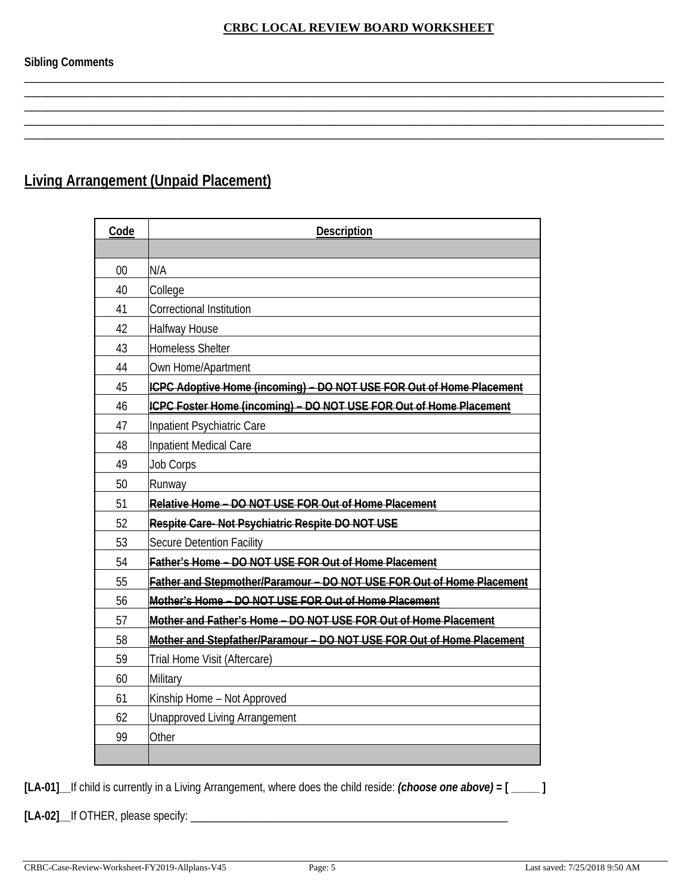\_\_\_\_\_\_\_\_\_\_\_\_\_\_\_\_\_\_\_\_\_\_\_\_\_\_\_\_\_\_\_\_\_\_\_\_\_\_\_\_\_\_\_\_\_\_\_\_\_\_\_\_\_\_\_\_\_\_\_\_\_\_\_\_\_\_\_\_\_\_\_\_\_\_\_\_\_\_\_\_\_\_\_\_\_\_\_\_\_\_\_\_\_\_\_\_\_\_\_\_\_\_\_\_\_\_\_\_\_\_\_\_\_ \_\_\_\_\_\_\_\_\_\_\_\_\_\_\_\_\_\_\_\_\_\_\_\_\_\_\_\_\_\_\_\_\_\_\_\_\_\_\_\_\_\_\_\_\_\_\_\_\_\_\_\_\_\_\_\_\_\_\_\_\_\_\_\_\_\_\_\_\_\_\_\_\_\_\_\_\_\_\_\_\_\_\_\_\_\_\_\_\_\_\_\_\_\_\_\_\_\_\_\_\_\_\_\_\_\_\_\_\_\_\_\_\_ \_\_\_\_\_\_\_\_\_\_\_\_\_\_\_\_\_\_\_\_\_\_\_\_\_\_\_\_\_\_\_\_\_\_\_\_\_\_\_\_\_\_\_\_\_\_\_\_\_\_\_\_\_\_\_\_\_\_\_\_\_\_\_\_\_\_\_\_\_\_\_\_\_\_\_\_\_\_\_\_\_\_\_\_\_\_\_\_\_\_\_\_\_\_\_\_\_\_\_\_\_\_\_\_\_\_\_\_\_\_\_\_\_ \_\_\_\_\_\_\_\_\_\_\_\_\_\_\_\_\_\_\_\_\_\_\_\_\_\_\_\_\_\_\_\_\_\_\_\_\_\_\_\_\_\_\_\_\_\_\_\_\_\_\_\_\_\_\_\_\_\_\_\_\_\_\_\_\_\_\_\_\_\_\_\_\_\_\_\_\_\_\_\_\_\_\_\_\_\_\_\_\_\_\_\_\_\_\_\_\_\_\_\_\_\_\_\_\_\_\_\_\_\_\_\_\_ \_\_\_\_\_\_\_\_\_\_\_\_\_\_\_\_\_\_\_\_\_\_\_\_\_\_\_\_\_\_\_\_\_\_\_\_\_\_\_\_\_\_\_\_\_\_\_\_\_\_\_\_\_\_\_\_\_\_\_\_\_\_\_\_\_\_\_\_\_\_\_\_\_\_\_\_\_\_\_\_\_\_\_\_\_\_\_\_\_\_\_\_\_\_\_\_\_\_\_\_\_\_\_\_\_\_\_\_\_\_\_\_\_

# **Living Arrangement (Unpaid Placement)**

| Code | <b>Description</b>                                                    |
|------|-----------------------------------------------------------------------|
|      |                                                                       |
| 00   | N/A                                                                   |
| 40   | College                                                               |
| 41   | Correctional Institution                                              |
| 42   | <b>Halfway House</b>                                                  |
| 43   | <b>Homeless Shelter</b>                                               |
| 44   | Own Home/Apartment                                                    |
| 45   | ICPC Adoptive Home (incoming) - DO NOT USE FOR Out of Home Placement  |
| 46   | ICPC Foster Home (incoming) - DO NOT USE FOR Out of Home Placement    |
| 47   | Inpatient Psychiatric Care                                            |
| 48   | Inpatient Medical Care                                                |
| 49   | <b>Job Corps</b>                                                      |
| 50   | Runway                                                                |
| 51   | Relative Home - DO NOT USE FOR Out of Home Placement                  |
| 52   | Respite Care-Not Psychiatric Respite DO NOT USE                       |
| 53   | Secure Detention Facility                                             |
| 54   | Father's Home - DO NOT USE FOR Out of Home Placement                  |
| 55   | Father and Stepmother/Paramour - DO NOT USE FOR Out of Home Placement |
| 56   | Mother's Home - DO NOT USE FOR Out of Home Placement                  |
| 57   | Mother and Father's Home - DO NOT USE FOR Out of Home Placement       |
| 58   | Mother and Stepfather/Paramour - DO NOT USE FOR Out of Home Placement |
| 59   | Trial Home Visit (Aftercare)                                          |
| 60   | Military                                                              |
| 61   | Kinship Home - Not Approved                                           |
| 62   | <b>Unapproved Living Arrangement</b>                                  |
| 99   | Other                                                                 |
|      |                                                                       |

**[LA-01]\_\_**If child is currently in a Living Arrangement, where does the child reside: *(choose one above)* **= [ \_\_\_\_\_ ]**

**[LA-02]\_\_**If OTHER, please specify: \_\_\_\_\_\_\_\_\_\_\_\_\_\_\_\_\_\_\_\_\_\_\_\_\_\_\_\_\_\_\_\_\_\_\_\_\_\_\_\_\_\_\_\_\_\_\_\_\_\_\_\_\_\_\_\_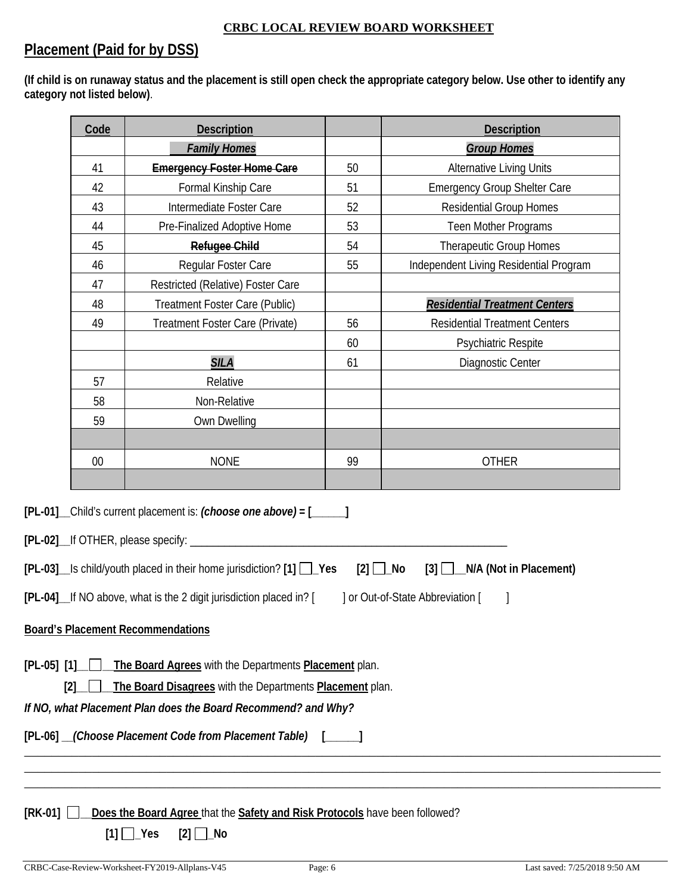# **Placement (Paid for by DSS)**

**(If child is on runaway status and the placement is still open check the appropriate category below. Use other to identify any category not listed below)**.

|                 | Code | <b>Description</b>                                                                                                                                                                                 |    | <b>Description</b>                                     |
|-----------------|------|----------------------------------------------------------------------------------------------------------------------------------------------------------------------------------------------------|----|--------------------------------------------------------|
|                 |      | <b>Family Homes</b>                                                                                                                                                                                |    | <b>Group Homes</b>                                     |
|                 | 41   | <b>Emergency Foster Home Care</b>                                                                                                                                                                  | 50 | <b>Alternative Living Units</b>                        |
|                 | 42   | Formal Kinship Care                                                                                                                                                                                | 51 | <b>Emergency Group Shelter Care</b>                    |
|                 | 43   | Intermediate Foster Care                                                                                                                                                                           | 52 | <b>Residential Group Homes</b>                         |
|                 | 44   | Pre-Finalized Adoptive Home                                                                                                                                                                        | 53 | Teen Mother Programs                                   |
|                 | 45   | <b>Refugee Child</b>                                                                                                                                                                               | 54 | <b>Therapeutic Group Homes</b>                         |
|                 | 46   | Regular Foster Care                                                                                                                                                                                | 55 | Independent Living Residential Program                 |
|                 | 47   | Restricted (Relative) Foster Care                                                                                                                                                                  |    |                                                        |
|                 | 48   | Treatment Foster Care (Public)                                                                                                                                                                     |    | <b>Residential Treatment Centers</b>                   |
|                 | 49   | Treatment Foster Care (Private)                                                                                                                                                                    | 56 | <b>Residential Treatment Centers</b>                   |
|                 |      |                                                                                                                                                                                                    | 60 | Psychiatric Respite                                    |
|                 |      | <b>SILA</b>                                                                                                                                                                                        | 61 | Diagnostic Center                                      |
|                 | 57   | Relative                                                                                                                                                                                           |    |                                                        |
|                 | 58   | Non-Relative                                                                                                                                                                                       |    |                                                        |
|                 | 59   | Own Dwelling                                                                                                                                                                                       |    |                                                        |
|                 |      |                                                                                                                                                                                                    |    |                                                        |
|                 | 00   | <b>NONE</b>                                                                                                                                                                                        | 99 | <b>OTHER</b>                                           |
|                 |      |                                                                                                                                                                                                    |    |                                                        |
|                 |      | [PL-01] _Child's current placement is: (choose one above) = [_____]<br>[PL-02]__If OTHER, please specify: ________<br>$[PL-03]$ Is child/youth placed in their home jurisdiction? $[1]$ $\Box$ Yes |    | $[2]$ $\Box$ No<br>$[3]$ $\Box$ N/A (Not in Placement) |
|                 |      | [PL-04] If NO above, what is the 2 digit jurisdiction placed in? [                                                                                                                                 |    | ] or Out-of-State Abbreviation [                       |
|                 |      | <b>Board's Placement Recommendations</b>                                                                                                                                                           |    |                                                        |
| $[PL-05]$ $[1]$ | [2]  | The Board Agrees with the Departments Placement plan.<br>The Board Disagrees with the Departments Placement plan.<br>If NO, what Placement Plan does the Board Recommend? and Why?                 |    |                                                        |
|                 |      |                                                                                                                                                                                                    |    |                                                        |
|                 |      | [PL-06] __(Choose Placement Code from Placement Table) [_____]                                                                                                                                     |    |                                                        |
|                 |      |                                                                                                                                                                                                    |    |                                                        |
|                 |      |                                                                                                                                                                                                    |    |                                                        |
| $[RK-01]$       |      | Does the Board Agree that the Safety and Risk Protocols have been followed?                                                                                                                        |    |                                                        |
|                 |      | $[1]$ $\Box$ Yes<br>$[2]$ $\Box$ No                                                                                                                                                                |    |                                                        |
|                 |      |                                                                                                                                                                                                    |    |                                                        |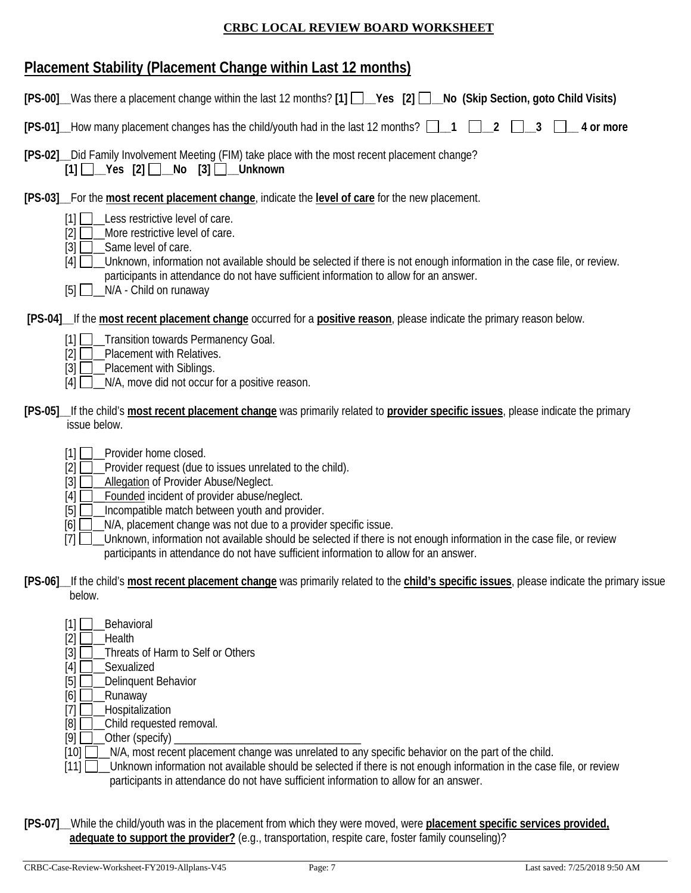# **Placement Stability (Placement Change within Last 12 months)**

| [PS-00] Was there a placement change within the last 12 months? [1] Nes [2] D No (Skip Section, goto Child Visits)                                                                                                                                                                                                                                                                                                                                                                                                                                                         |
|----------------------------------------------------------------------------------------------------------------------------------------------------------------------------------------------------------------------------------------------------------------------------------------------------------------------------------------------------------------------------------------------------------------------------------------------------------------------------------------------------------------------------------------------------------------------------|
| [PS-01] How many placement changes has the child/youth had in the last 12 months?<br>$\overline{2}$<br>3<br>$\_$ 4 or more                                                                                                                                                                                                                                                                                                                                                                                                                                                 |
| [PS-02] __ Did Family Involvement Meeting (FIM) take place with the most recent placement change?<br>$[1]$ $\Box$ Yes $[2]$ $\Box$ No $[3]$ $\Box$ Unknown                                                                                                                                                                                                                                                                                                                                                                                                                 |
| [PS-03] For the most recent placement change, indicate the level of care for the new placement.<br>Less restrictive level of care.<br>$\lceil 1 \rceil$<br>More restrictive level of care.<br>[2]<br>$\left\lceil 3 \right\rceil$<br>Same level of care.<br>Unknown, information not available should be selected if there is not enough information in the case file, or review.<br>[4]<br>participants in attendance do not have sufficient information to allow for an answer.<br>N/A - Child on runaway<br>$[5]$ $\Box$                                                |
| [PS-04] If the most recent placement change occurred for a positive reason, please indicate the primary reason below.<br>[1] Transition towards Permanency Goal.<br>Placement with Relatives.<br>[2]<br>Placement with Siblings.<br>$[3]$<br>N/A, move did not occur for a positive reason.<br>[4]                                                                                                                                                                                                                                                                         |
| [PS-05] If the child's most recent placement change was primarily related to provider specific issues, please indicate the primary<br>issue below.                                                                                                                                                                                                                                                                                                                                                                                                                         |
| Provider home closed.<br>[1]<br>Provider request (due to issues unrelated to the child).<br>$[2]$<br>$[3]$<br>Allegation of Provider Abuse/Neglect.<br>Founded incident of provider abuse/neglect.<br>$[4]$<br>$[5]$<br>Incompatible match between youth and provider.<br>N/A, placement change was not due to a provider specific issue.<br>[6]<br>Unknown, information not available should be selected if there is not enough information in the case file, or review<br>$[7]$<br>participants in attendance do not have sufficient information to allow for an answer. |
| [PS-06] If the child's most recent placement change was primarily related to the child's specific issues, please indicate the primary issue<br>below.                                                                                                                                                                                                                                                                                                                                                                                                                      |
| Behavioral<br>[1]<br>$[2]$<br>Health<br>Threats of Harm to Self or Others<br>$[3]$<br>Sexualized<br>$[4]$<br>[5]<br>Delinquent Behavior<br>[6]<br>Runaway<br>Hospitalization<br>$[7]$<br>[8]<br>Child requested removal.                                                                                                                                                                                                                                                                                                                                                   |

- [9] \_\_Other (specify) \_\_\_\_\_\_\_\_\_\_\_\_\_\_\_\_\_\_\_\_\_\_\_\_\_\_\_\_\_\_\_\_\_
- [10]  $\Box$  N/A, most recent placement change was unrelated to any specific behavior on the part of the child.
- [11] **\_\_\_Unknown information not available should be selected if there is not enough information in the case file, or review** participants in attendance do not have sufficient information to allow for an answer.
- **[PS-07]\_\_**While the child/youth was in the placement from which they were moved, were **placement specific services provided, adequate to support the provider?** (e.g., transportation, respite care, foster family counseling)?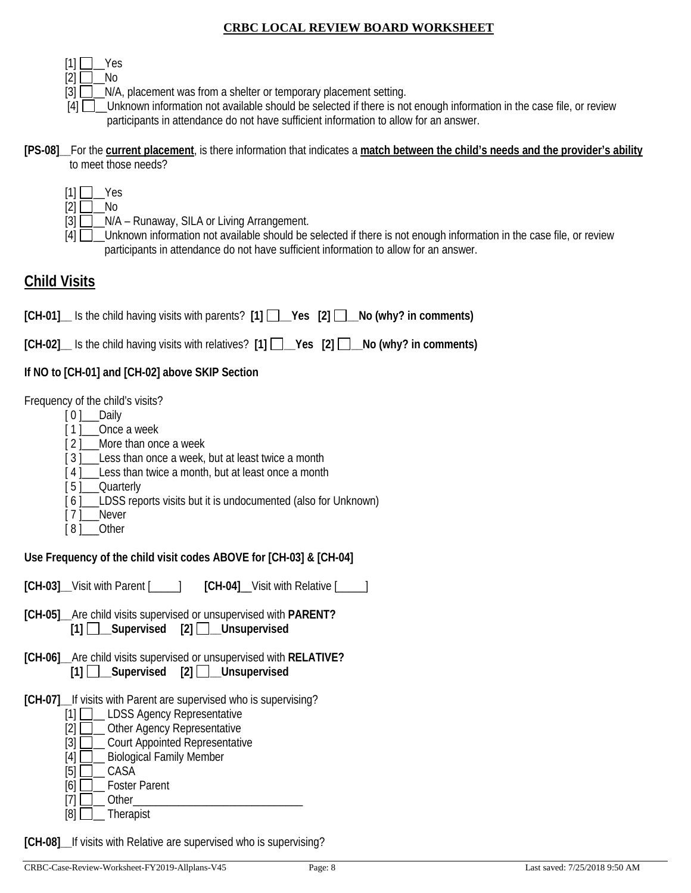|--|--|--|

- $[2]$   $\Box$  No
- $[3]$   $\Box$   $\Box$  N/A, placement was from a shelter or temporary placement setting.
- [4]  $\Box$  Unknown information not available should be selected if there is not enough information in the case file, or review participants in attendance do not have sufficient information to allow for an answer.

#### **[PS-08]\_\_**For the **current placement**, is there information that indicates a **match between the child's needs and the provider's ability** to meet those needs?

- $[1]$   $\Box$  Yes
- $[2]$  No
- [3]  $\Box$  N/A Runaway, SILA or Living Arrangement.
- [4]  $\Box$  Unknown information not available should be selected if there is not enough information in the case file, or review participants in attendance do not have sufficient information to allow for an answer.

# **Child Visits**

**[CH-01]\_\_** Is the child having visits with parents? **[1] \_\_Yes [2] \_\_No (why? in comments)**

**[CH-02]\_\_** Is the child having visits with relatives? **[1] \_\_Yes [2] \_\_No (why? in comments)**

### **If NO to [CH-01] and [CH-02] above SKIP Section**

Frequency of the child's visits?

- [ 0 ]\_\_\_\_Daily
- [1] Once a week
- [2] More than once a week
- [3] Less than once a week, but at least twice a month
- [4] Less than twice a month, but at least once a month
- [ 5 ]\_\_\_\_ Ouarterly
- [6] LDSS reports visits but it is undocumented (also for Unknown)
- [ 7 ]\_\_\_Never
- [8] Other

**Use Frequency of the child visit codes ABOVE for [CH-03] & [CH-04]** 

**[CH-03]\_\_**Visit with Parent [\_\_\_\_\_] **[CH-04]**\_\_Visit with Relative [\_\_\_\_\_]

- **[CH-05]\_\_**Are child visits supervised or unsupervised with **PARENT? [1] \_\_Supervised [2] \_\_Unsupervised**
- **[CH-06]\_\_**Are child visits supervised or unsupervised with **RELATIVE? [1] \_\_Supervised [2] \_\_Unsupervised**
- **[CH-07]\_\_**If visits with Parent are supervised who is supervising?
	- [1] **\_\_\_ LDSS Agency Representative**
	- [2] **Quality** Other Agency Representative
	- [3] **Q\_ Court Appointed Representative**
	- [4] **D** Biological Family Member
	- $[5]$   $\Box$  CASA
	- [6] **D**\_ Foster Parent  $[7]$   $\Box$  Other
	- $[8]$   $\Box$  Therapist
	-

**[CH-08]\_\_**If visits with Relative are supervised who is supervising?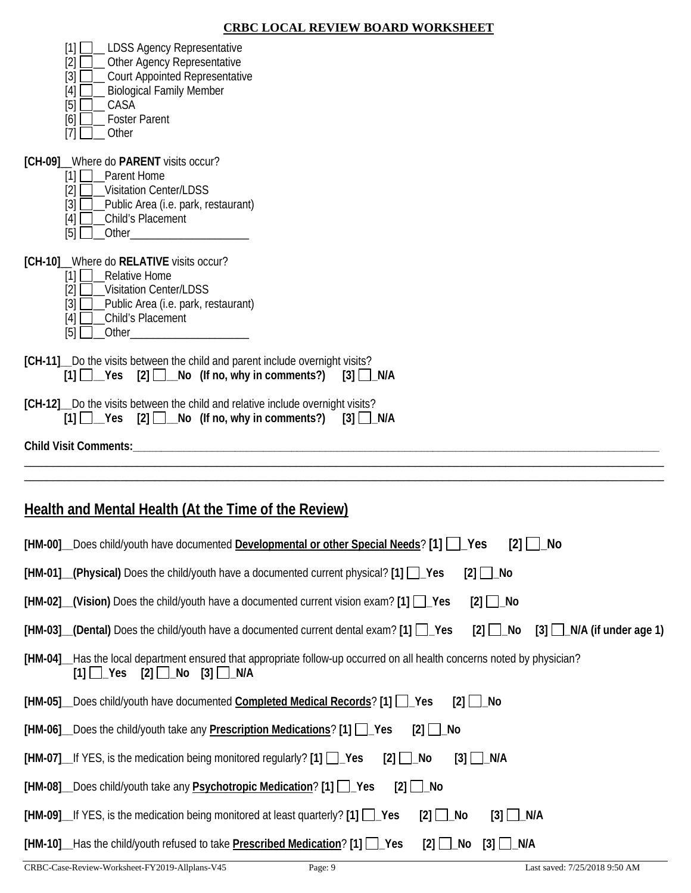| [1]<br>_ LDSS Agency Representative<br>$[2]$<br>_ Other Agency Representative<br>$[3]$<br><b>Court Appointed Representative</b><br><b>Biological Family Member</b><br>[4]<br>CASA<br>$[5]$<br><b>Foster Parent</b><br>[6]<br>[7]<br>Other |
|-------------------------------------------------------------------------------------------------------------------------------------------------------------------------------------------------------------------------------------------|
| [CH-09] Where do PARENT visits occur?<br>[1]<br>Parent Home<br><b>Visitation Center/LDSS</b><br>[2]<br>$[3]$<br>_Public Area (i.e. park, restaurant)<br>Child's Placement<br>[4]<br>[5]                                                   |
| [CH-10] Where do RELATIVE visits occur?<br>[1] <u>□</u> _Relative Home<br>[2]<br><b>Visitation Center/LDSS</b><br>$[3]$<br>_Public Area (i.e. park, restaurant)<br>Child's Placement<br>[4]<br>[5]<br>Other                               |
| [CH-11] Do the visits between the child and parent include overnight visits?<br>$[1]$ $\Box$ Yes [2] $\Box$ No (If no, why in comments?) [3] $\Box$ N/A                                                                                   |
| [CH-12] Do the visits between the child and relative include overnight visits?<br>$[1]$ $\Box$ Yes $[2]$ $\Box$ No (If no, why in comments?) [3] $\Box$ N/A                                                                               |
|                                                                                                                                                                                                                                           |
|                                                                                                                                                                                                                                           |
| <b>Health and Mental Health (At the Time of the Review)</b>                                                                                                                                                                               |
| [HM-00]__Does child/youth have documented Developmental or other Special Needs? [1] [ ]_Yes [2] [<br>_No                                                                                                                                  |
| [HM-01] (Physical) Does the child/youth have a documented current physical? [1] [ Yes<br>$[2]$ $\Box$ No                                                                                                                                  |
| $[HM-02]$ (Vision) Does the child/youth have a documented current vision exam? [1] $\Box$ Yes<br>$[2]$ $\Box$ No                                                                                                                          |
| [HM-03] (Dental) Does the child/youth have a documented current dental exam? [1] [ Yes<br>$[2]$ $\Box$ No<br>$[3]$ N/A (if under age 1)                                                                                                   |
| [HM-04]__Has the local department ensured that appropriate follow-up occurred on all health concerns noted by physician?<br>$[2]$ $\Box$ No<br>$[3]$ $\Box$ N/A<br>$[1]$ $\Box$ Yes                                                       |
| [HM-05] Does child/youth have documented Completed Medical Records? [1] [ Ves<br>∣_No<br>$[2]$                                                                                                                                            |
| [HM-06] Does the child/youth take any <b>Prescription Medications</b> ? [1] Pes<br>$[2]$ Mo                                                                                                                                               |
| [HM-07] If YES, is the medication being monitored regularly? [1] Pes<br>$[2]$ $\Box$ No<br>$[3]$ $\Box$ N/A                                                                                                                               |
| [HM-08] _ Does child/youth take any <b>Psychotropic Medication</b> ? [1] _ Yes<br>$[2]$ $\Box$ No                                                                                                                                         |
| [HM-09] If YES, is the medication being monitored at least quarterly? [1] Pes<br>$[3]$ $\Box$ N/A<br>$[2]$ $\Box$ No                                                                                                                      |
| [HM-10]_Has the child/youth refused to take Prescribed Medication? [1] [ _]_Yes<br>[2] $□$ _No<br>$[3]$ $\Box$ N/A                                                                                                                        |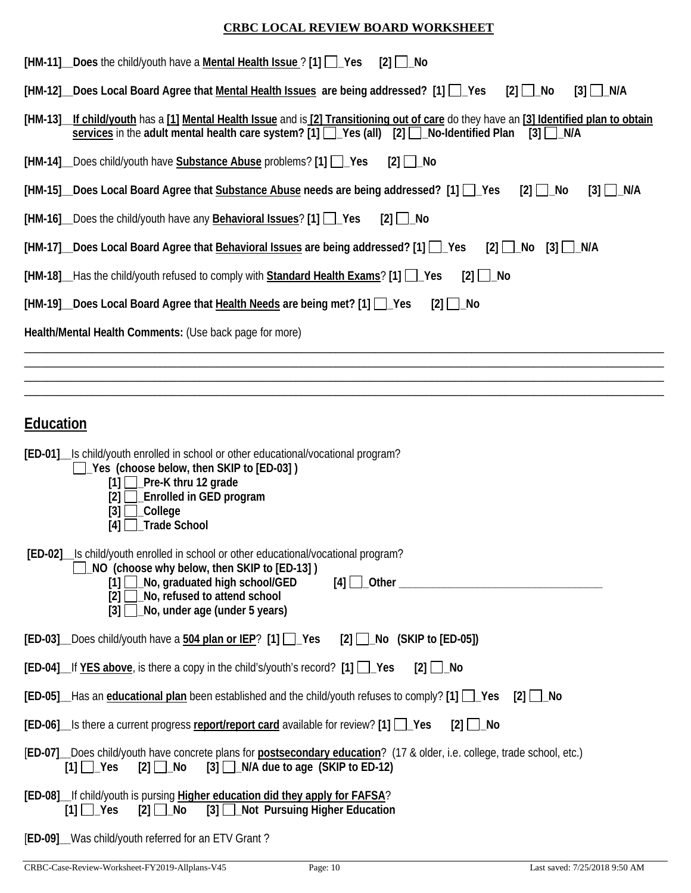| [HM-11] Does the child/youth have a Mental Health Issue ? [1] Pes<br>$[2]$ $\Box$ No                                                                                                                                                                     |
|----------------------------------------------------------------------------------------------------------------------------------------------------------------------------------------------------------------------------------------------------------|
| [HM-12] Does Local Board Agree that Mental Health Issues are being addressed? [1] [ Yes<br>$[2] \bigsqcup \blacksquare$ No<br>$[3]$ $\Box$ N/A                                                                                                           |
| [HM-13]_If child/youth has a [1] Mental Health Issue and is [2] Transitioning out of care do they have an [3] Identified plan to obtain<br>services in the adult mental health care system? [1] [ Yes (all) [2] [ No-Identified Plan<br>$[3] \Box N/A$   |
| [HM-14] Does child/youth have Substance Abuse problems? [1] Pes<br>$[2]$ $\Box$ No                                                                                                                                                                       |
| [HM-15] Does Local Board Agree that Substance Abuse needs are being addressed? [1] [ Ves<br>$[2]$ $\Box$ No<br>$[3]$ $\Box$ N/A                                                                                                                          |
| [HM-16] Does the child/youth have any <b>Behavioral Issues</b> ? [1] Pes<br>$[2]$ $\Box$ No                                                                                                                                                              |
| [HM-17] Does Local Board Agree that Behavioral Issues are being addressed? [1] Les<br>$[2]$ No<br>[3] ∐_N/A                                                                                                                                              |
| [HM-18] Has the child/youth refused to comply with <b>Standard Health Exams</b> ? [1] Pes<br>$[2]$ $\Box$ No                                                                                                                                             |
| [HM-19] Does Local Board Agree that Health Needs are being met? [1] Pes<br>$[2]$ $\Box$ No                                                                                                                                                               |
| Health/Mental Health Comments: (Use back page for more)                                                                                                                                                                                                  |
|                                                                                                                                                                                                                                                          |
|                                                                                                                                                                                                                                                          |
| <b>Education</b>                                                                                                                                                                                                                                         |
| [ED-01] Is child/youth enrolled in school or other educational/vocational program?<br>Yes (choose below, then SKIP to [ED-03])<br>$[1]$ Pre-K thru 12 grade<br>[2]<br><b>Enrolled in GED program</b><br>[3]<br>_College<br>Trade School<br>[4]           |
| [ED-02] Is child/youth enrolled in school or other educational/vocational program?<br>NO (choose why below, then SKIP to [ED-13])<br>[1] No, graduated high school/GED<br>[2] No, refused to attend school<br>$[3]$ $\Box$ No, under age (under 5 years) |
| [ED-03] _Does child/youth have a 504 plan or IEP? [1] □ Yes<br>$[2]$ No (SKIP to $[ED-05]$ )                                                                                                                                                             |
| $[ED-04]$ If YES above, is there a copy in the child's/youth's record? $[1]$ $[2]$<br>$[2]$ $\Box$ No                                                                                                                                                    |
| [ED-05] Has an educational plan been established and the child/youth refuses to comply? [1] Pes<br>$[2]$ $\Box$ No                                                                                                                                       |
| $[ED-06]$ Is there a current progress report/report card available for review? $[1]$<br>$[2]$ $\Box$ No                                                                                                                                                  |
| [ED-07] Does child/youth have concrete plans for postsecondary education? (17 & older, i.e. college, trade school, etc.)<br>$[1]$ $\Box$ Yes $[2]$ $\Box$ No $[3]$ $\Box$ N/A due to age (SKIP to ED-12)                                                 |
| [ED-08] If child/youth is pursing Higher education did they apply for FAFSA?<br>[3] Not Pursuing Higher Education<br>$[1]$ $\Box$ Yes<br>$[2]$ Mo                                                                                                        |

[**ED-09]\_\_**Was child/youth referred for an ETV Grant ?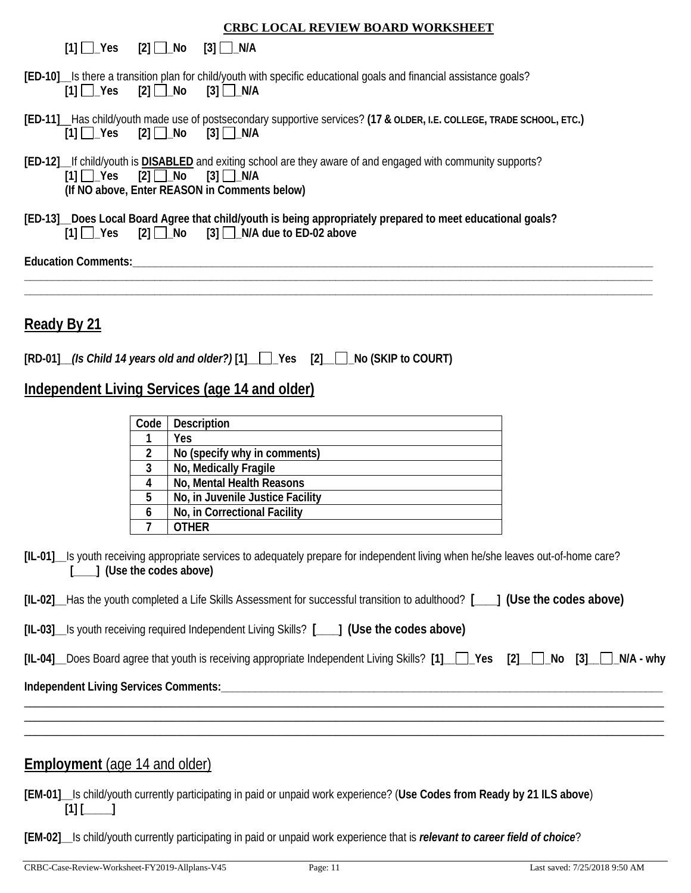| <b>CRBC LOCAL REVIEW BOARD WORKSHEET</b>                                                                                                                                                                                                                    |
|-------------------------------------------------------------------------------------------------------------------------------------------------------------------------------------------------------------------------------------------------------------|
| [3] □_N/A<br>$[1]$ $Yes$ $[2]$ $No$                                                                                                                                                                                                                         |
| [ED-10] Is there a transition plan for child/youth with specific educational goals and financial assistance goals?<br>$[3]$ $\Box$ N/A<br>$[1]$ $\Box$ Yes<br>$[2]$ $\Box$ $\Box$ $\Box$                                                                    |
| [ED-11] __ Has child/youth made use of postsecondary supportive services? (17 & OLDER, I.E. COLLEGE, TRADE SCHOOL, ETC.)<br>$[2]$ $\Box$ No<br>$[3]$ $\Box$ N/A<br>$[1] \Box$ Yes                                                                           |
| [ED-12] If child/youth is <b>DISABLED</b> and exiting school are they aware of and engaged with community supports?<br>$[2] \square$ No<br>$[1]$ $\Box$ Yes<br>$[3]$ $\Box$ N/A<br>(If NO above, Enter REASON in Comments below)                            |
| [ED-13]_Does Local Board Agree that child/youth is being appropriately prepared to meet educational goals?<br>$[1]$ $\Box$ Yes $[2]$ $\Box$ No $[3]$ $\Box$ N/A due to ED-02 above                                                                          |
|                                                                                                                                                                                                                                                             |
|                                                                                                                                                                                                                                                             |
| Ready By 21                                                                                                                                                                                                                                                 |
| [RD-01] (Is Child 14 years old and older?) [1] Ves [2] No (SKIP to COURT)                                                                                                                                                                                   |
| <b>Independent Living Services (age 14 and older)</b>                                                                                                                                                                                                       |
| <b>Description</b><br>Code<br>Yes<br>1<br>$\overline{2}$<br>No (specify why in comments)<br>3<br>No, Medically Fragile<br>4<br>No, Mental Health Reasons<br>5<br>No, in Juvenile Justice Facility<br>No, in Correctional Facility<br>6<br>7<br><b>OTHER</b> |
| [IL-01] __ Is youth receiving appropriate services to adequately prepare for independent living when he/she leaves out-of-home care?<br>  (Use the codes above)                                                                                             |
| [IL-02] Has the youth completed a Life Skills Assessment for successful transition to adulthood? [11] (Use the codes above)                                                                                                                                 |
| [IL-03] Is youth receiving required Independent Living Skills? [1888] (Use the codes above)                                                                                                                                                                 |
| [IL-04] Does Board agree that youth is receiving appropriate Independent Living Skills? [1] Ves [2] [2]<br>$[3]$ $\Box$ $\Box$ $N/A$ - why                                                                                                                  |
| Independent Living Services Comments:                                                                                                                                                                                                                       |
|                                                                                                                                                                                                                                                             |
| <b>Employment</b> (age 14 and older)                                                                                                                                                                                                                        |
| [EM-01]__Is child/youth currently participating in paid or unpaid work experience? (Use Codes from Ready by 21 ILS above)<br>$[1]$                                                                                                                          |

**[EM-02]\_\_**Is child/youth currently participating in paid or unpaid work experience that is *relevant to career field of choice*?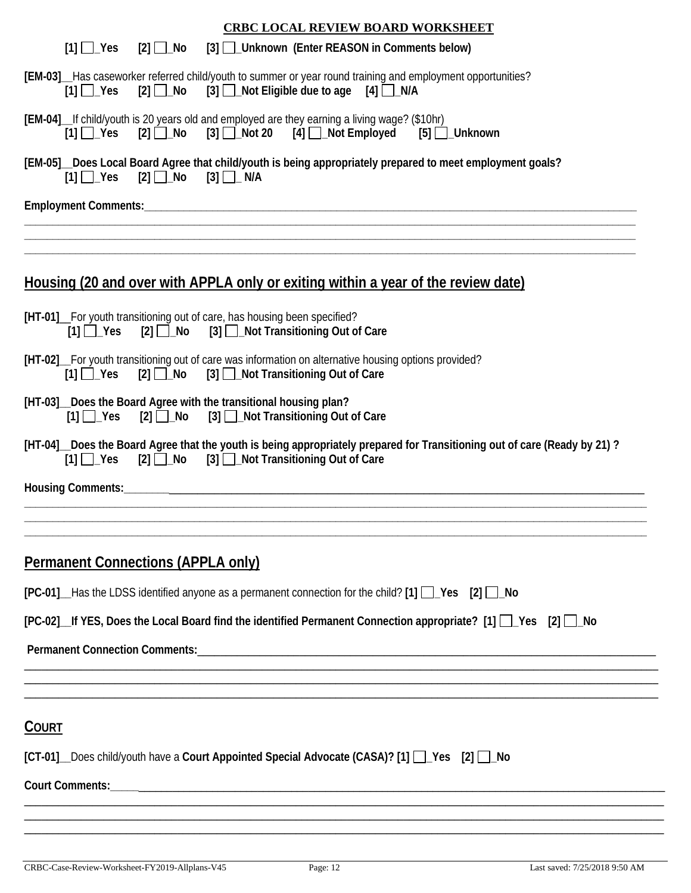| <b>CRBC LOCAL REVIEW BOARD WORKSHEET</b>                                                                                                                                                      |  |  |  |  |  |  |
|-----------------------------------------------------------------------------------------------------------------------------------------------------------------------------------------------|--|--|--|--|--|--|
| $[1]$ $\Box$ Yes<br>$[2]$ No<br>[3] Unknown (Enter REASON in Comments below)                                                                                                                  |  |  |  |  |  |  |
| [EM-03]__Has caseworker referred child/youth to summer or year round training and employment opportunities?<br>$[2]$ No [3] $\Box$ Not Eligible due to age [4] $\Box$ N/A<br>$[1]$ $\Box$ Yes |  |  |  |  |  |  |
| [EM-04] __ If child/youth is 20 years old and employed are they earning a living wage? (\$10hr)<br>$[2]$ No $[3]$ Not 20 $[4]$ Not Employed $[5]$ Unknown<br>$[1]$ $\Box$ Yes                 |  |  |  |  |  |  |
| [EM-05]_Does Local Board Agree that child/youth is being appropriately prepared to meet employment goals?<br>$[1]$ $\Box$ Yes $[2]$ $\Box$ No $[3]$ $\Box$ N/A                                |  |  |  |  |  |  |
|                                                                                                                                                                                               |  |  |  |  |  |  |
|                                                                                                                                                                                               |  |  |  |  |  |  |
|                                                                                                                                                                                               |  |  |  |  |  |  |
| <u>Housing (20 and over with APPLA only or exiting within a year of the review date)</u>                                                                                                      |  |  |  |  |  |  |
| [HT-01]_For youth transitioning out of care, has housing been specified?<br>[3] <b>D_Not Transitioning Out of Care</b><br>$[1]$ $\Box$ Yes<br>$[2]$ $\Box$ No                                 |  |  |  |  |  |  |
| [HT-02] For youth transitioning out of care was information on alternative housing options provided?<br>$[2]$ $\Box$ No<br>[3] <b>Not Transitioning Out of Care</b><br>$[1]$ $\Box$ Yes       |  |  |  |  |  |  |
| [HT-03]_Does the Board Agree with the transitional housing plan?<br>[3] <b>[3]</b> Not Transitioning Out of Care<br>$[2] \square$ No<br>$[1]$ $\Box$ Yes                                      |  |  |  |  |  |  |
| [HT-04] _ Does the Board Agree that the youth is being appropriately prepared for Transitioning out of care (Ready by 21)?<br>[1] Yes [2] No [3] Not Transitioning Out of Care                |  |  |  |  |  |  |
|                                                                                                                                                                                               |  |  |  |  |  |  |
|                                                                                                                                                                                               |  |  |  |  |  |  |
|                                                                                                                                                                                               |  |  |  |  |  |  |
| <b>Permanent Connections (APPLA only)</b>                                                                                                                                                     |  |  |  |  |  |  |
| $[PC-01]$ Has the LDSS identified anyone as a permanent connection for the child? $[1]$ $\Box$ Yes $[2]$ $\Box$ No                                                                            |  |  |  |  |  |  |
| [PC-02] If YES, Does the Local Board find the identified Permanent Connection appropriate? [1] P Yes [2] P No                                                                                 |  |  |  |  |  |  |
|                                                                                                                                                                                               |  |  |  |  |  |  |
|                                                                                                                                                                                               |  |  |  |  |  |  |
|                                                                                                                                                                                               |  |  |  |  |  |  |
| <b>COURT</b>                                                                                                                                                                                  |  |  |  |  |  |  |
| [CT-01] Does child/youth have a Court Appointed Special Advocate (CASA)? [1] Pes [2] C No                                                                                                     |  |  |  |  |  |  |
|                                                                                                                                                                                               |  |  |  |  |  |  |
|                                                                                                                                                                                               |  |  |  |  |  |  |
|                                                                                                                                                                                               |  |  |  |  |  |  |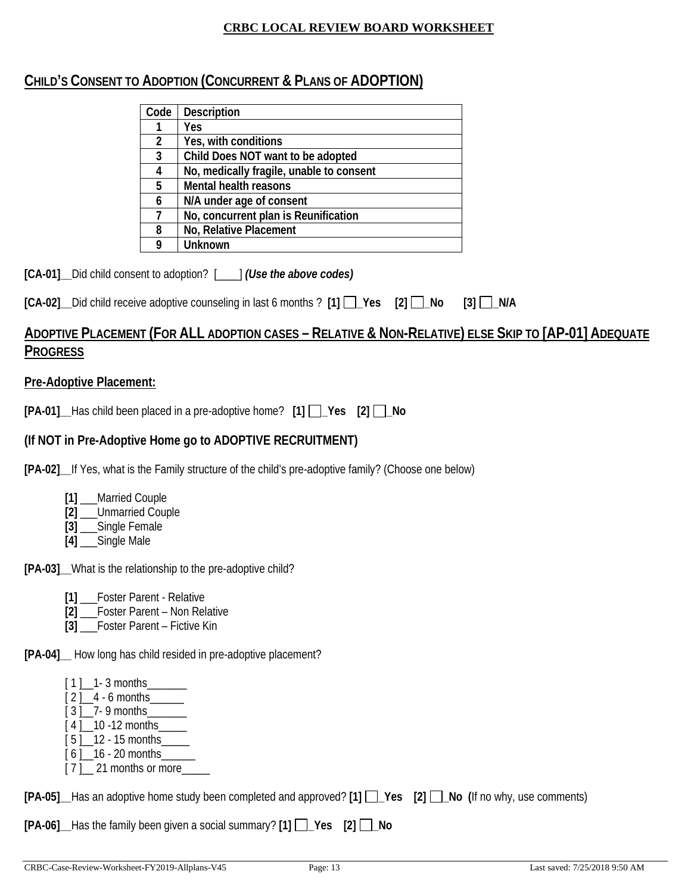## **CHILD'S CONSENT TO ADOPTION (CONCURRENT & PLANS OF ADOPTION)**

| Code         | <b>Description</b>                       |
|--------------|------------------------------------------|
|              | Yes                                      |
| 2            | Yes, with conditions                     |
| $\mathbf{3}$ | Child Does NOT want to be adopted        |
|              | No, medically fragile, unable to consent |
| 5            | Mental health reasons                    |
| 6            | N/A under age of consent                 |
|              | No, concurrent plan is Reunification     |
| 8            | No, Relative Placement                   |
|              | Unknown                                  |

**[CA-01]\_\_**Did child consent to adoption? [\_\_\_\_] *(Use the above codes)*

|  |  |  | [CA-02] _ Did child receive adoptive counseling in last 6 months ? [1] _ Yes [2] _ No [3] _ N/A |  |  |  |  |
|--|--|--|-------------------------------------------------------------------------------------------------|--|--|--|--|
|--|--|--|-------------------------------------------------------------------------------------------------|--|--|--|--|

# **ADOPTIVE PLACEMENT (FOR ALL ADOPTION CASES – RELATIVE & NON-RELATIVE) ELSE SKIP TO [AP-01] ADEQUATE PROGRESS**

#### **Pre-Adoptive Placement:**

**[PA-01]\_\_**Has child been placed in a pre-adoptive home? **[1] \_Yes [2] \_No** 

## **(If NOT in Pre-Adoptive Home go to ADOPTIVE RECRUITMENT)**

**[PA-02]\_\_**If Yes, what is the Family structure of the child's pre-adoptive family? (Choose one below)

- **[1]** \_\_\_Married Couple
- **[2]** \_\_\_Unmarried Couple
- **[3]** \_\_\_Single Female
- **[4]** \_\_\_Single Male

**[PA-03]\_\_**What is the relationship to the pre-adoptive child?

- **[1]** \_\_\_Foster Parent Relative
- **[2]** \_\_\_Foster Parent Non Relative
- **[3]** \_\_\_Foster Parent Fictive Kin

**[PA-04]\_\_** How long has child resided in pre-adoptive placement?

- $[1]$  1 3 months
- $\frac{1}{2}$   $\frac{1}{4}$  6 months
- $[3]$  7- 9 months
- $[4]$  10 -12 months
- [ 5 ] \_ 12 15 months
- $[6]$  16 20 months [ 7 ] \_\_ 21 months or more\_\_\_\_

|  |  |  |  |  |  |  | [PA-05] Has an adoptive home study been completed and approved? [1] 1 _Pes [2] 1 _No (If no why, use comments) |
|--|--|--|--|--|--|--|----------------------------------------------------------------------------------------------------------------|
|--|--|--|--|--|--|--|----------------------------------------------------------------------------------------------------------------|

**[PA-06]\_\_**Has the family been given a social summary? **[1] \_Yes [2] \_No**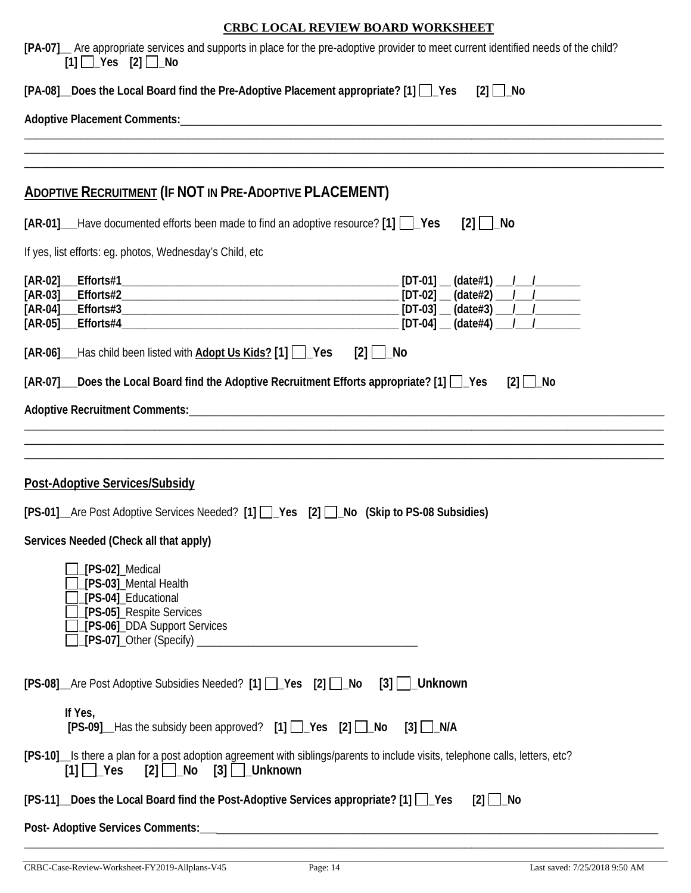| [PA-07] Are appropriate services and supports in place for the pre-adoptive provider to meet current identified needs of the child?<br>$[1]$ $\Box$ Yes $[2]$ $\Box$ No                                                                                                                                                                                                                     |
|---------------------------------------------------------------------------------------------------------------------------------------------------------------------------------------------------------------------------------------------------------------------------------------------------------------------------------------------------------------------------------------------|
| $[PA-08]$ Does the Local Board find the Pre-Adoptive Placement appropriate? $[1]$ $[$ Yes<br>$[2]$ No                                                                                                                                                                                                                                                                                       |
|                                                                                                                                                                                                                                                                                                                                                                                             |
|                                                                                                                                                                                                                                                                                                                                                                                             |
| <b>ADOPTIVE RECRUITMENT (IF NOT IN PRE-ADOPTIVE PLACEMENT)</b>                                                                                                                                                                                                                                                                                                                              |
| [AR-01] Have documented efforts been made to find an adoptive resource? [1] PLYes<br>$[2]$   $\Box$ No                                                                                                                                                                                                                                                                                      |
| If yes, list efforts: eg. photos, Wednesday's Child, etc                                                                                                                                                                                                                                                                                                                                    |
|                                                                                                                                                                                                                                                                                                                                                                                             |
| [AR-06] ___ Has child been listed with <b>Adopt Us Kids?</b> [1] $\vert$   Yes<br>$[2]$   $\lfloor$ No                                                                                                                                                                                                                                                                                      |
| [AR-07] Does the Local Board find the Adoptive Recruitment Efforts appropriate? [1] [ Pes<br>$[2]$ $\Box$ No                                                                                                                                                                                                                                                                                |
|                                                                                                                                                                                                                                                                                                                                                                                             |
| Post-Adoptive Services/Subsidy<br>[PS-01]_Are Post Adoptive Services Needed? [1] []_Yes [2] []_No (Skip to PS-08 Subsidies)<br>Services Needed (Check all that apply)<br>[PS-02]_Medical<br>[PS-03]_Mental Health<br>[PS-04]_Educational<br>[PS-05]_Respite Services<br>[PS-06]_DDA Support Services<br>[PS-08]_Are Post Adoptive Subsidies Needed? [1] [ ]_Yes [2] [ ]_No [3] [ ]_ Unknown |
| If Yes,<br>[PS-09]_Has the subsidy been approved? [1] D_Yes [2] D_No [3] D_N/A                                                                                                                                                                                                                                                                                                              |
| [PS-10] Is there a plan for a post adoption agreement with siblings/parents to include visits, telephone calls, letters, etc?                                                                                                                                                                                                                                                               |
| [PS-11] Does the Local Board find the Post-Adoptive Services appropriate? [1] 1 Yes<br>$[2]$ $\Box$ No                                                                                                                                                                                                                                                                                      |
|                                                                                                                                                                                                                                                                                                                                                                                             |